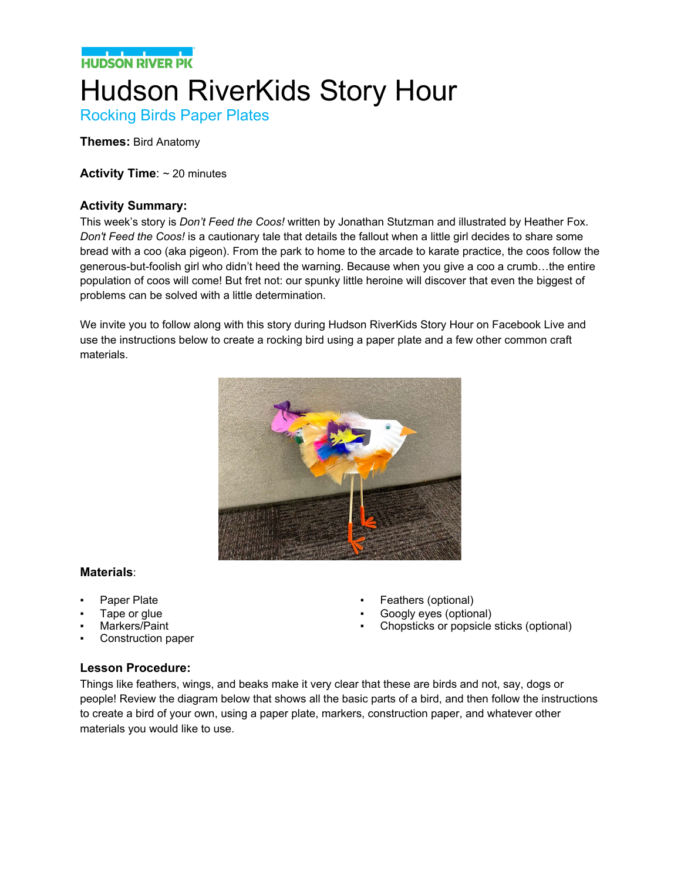## **NATIONAL PROPERTY** Hudson RiverKids Story Hour

Rocking Birds Paper Plates

**Themes:** Bird Anatomy

**Activity Time**: ~ 20 minutes

#### **Activity Summary:**

This week's story is *Don't Feed the Coos!* written by Jonathan Stutzman and illustrated by Heather Fox. *Don't Feed the Coos!* is a cautionary tale that details the fallout when a little girl decides to share some bread with a coo (aka pigeon). From the park to home to the arcade to karate practice, the coos follow the generous-but-foolish girl who didn't heed the warning. Because when you give a coo a crumb…the entire population of coos will come! But fret not: our spunky little heroine will discover that even the biggest of problems can be solved with a little determination.

We invite you to follow along with this story during Hudson RiverKids Story Hour on Facebook Live and use the instructions below to create a rocking bird using a paper plate and a few other common craft materials.



#### **Materials**:

- Paper Plate
- Tape or glue
- Markers/Paint
- Construction paper
- Feathers (optional)
- Googly eyes (optional)
- Chopsticks or popsicle sticks (optional)

#### **Lesson Procedure:**

Things like feathers, wings, and beaks make it very clear that these are birds and not, say, dogs or people! Review the diagram below that shows all the basic parts of a bird, and then follow the instructions to create a bird of your own, using a paper plate, markers, construction paper, and whatever other materials you would like to use.